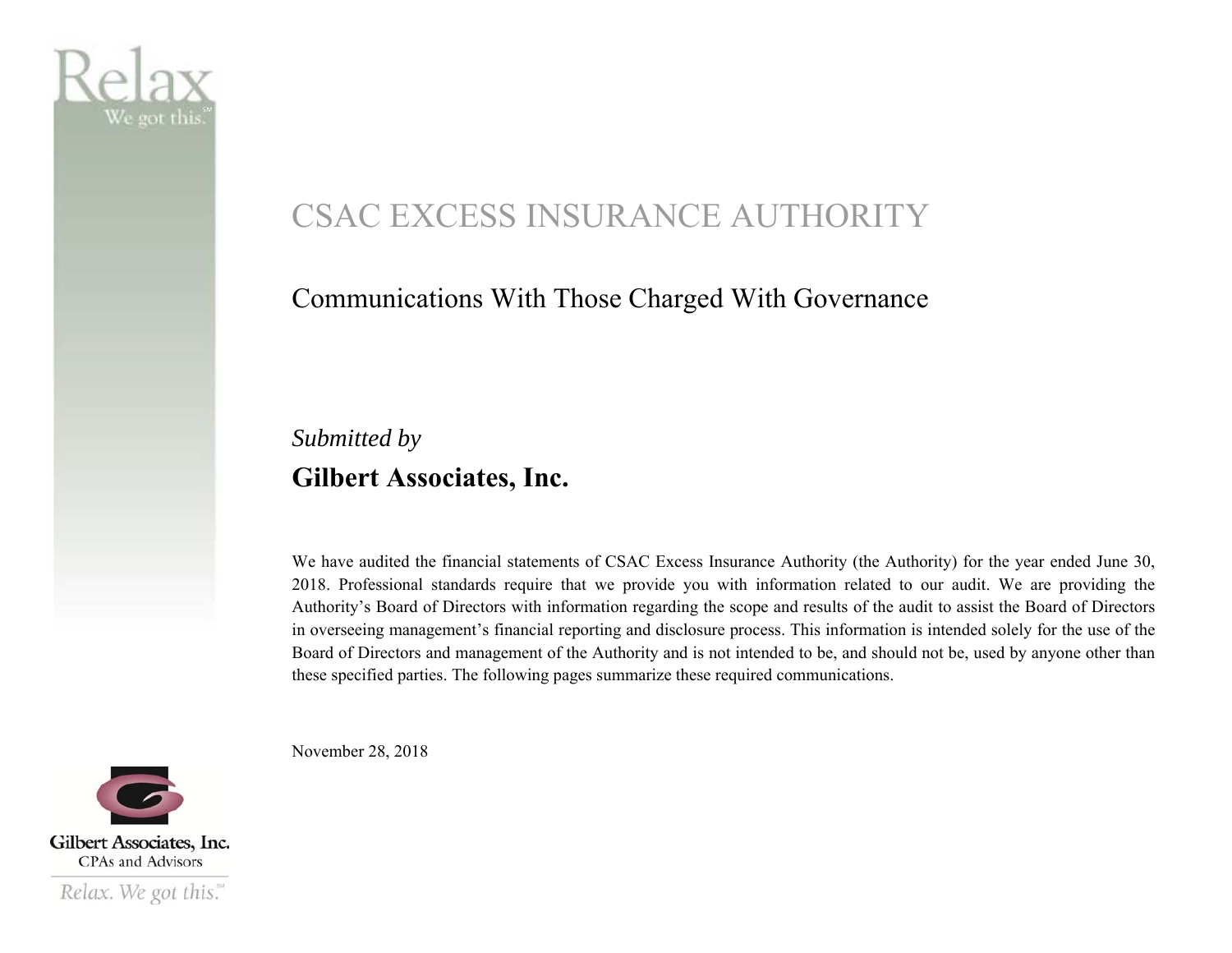

# CSAC EXCESS INSURANCE AUTHORITY

#### Communications With Those Charged With Governance

### *Submitted by*  **Gilbert Associates, Inc.**

We have audited the financial statements of CSAC Excess Insurance Authority (the Authority) for the year ended June 30, 2018. Professional standards require that we provide you with information related to our audit. We are providing the Authority's Board of Directors with information regarding the scope and results of the audit to assist the Board of Directors in overseeing management's financial reporting and disclosure process. This information is intended solely for the use of the Board of Directors and management of the Authority and is not intended to be, and should not be, used by anyone other than these specified parties. The following pages summarize these required communications.

November 28, 2018

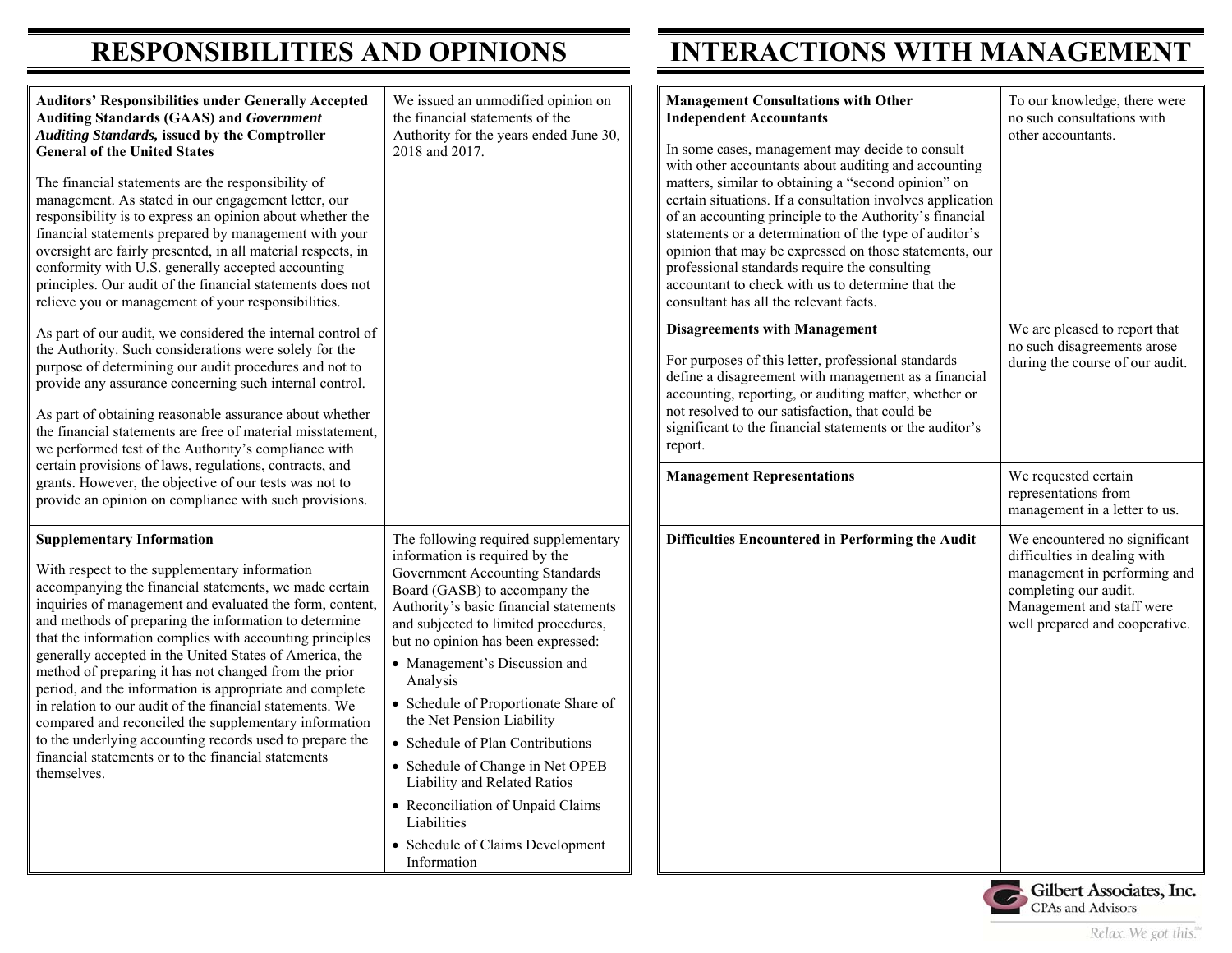### **RESPONSIBILITIES AND OPINIONS INTERACTIONS WITH MANAGEMENT**

| <b>Auditors' Responsibilities under Generally Accepted</b><br><b>Auditing Standards (GAAS) and Government</b><br><b>Auditing Standards, issued by the Comptroller</b><br><b>General of the United States</b><br>The financial statements are the responsibility of<br>management. As stated in our engagement letter, our<br>responsibility is to express an opinion about whether the<br>financial statements prepared by management with your<br>oversight are fairly presented, in all material respects, in<br>conformity with U.S. generally accepted accounting<br>principles. Our audit of the financial statements does not<br>relieve you or management of your responsibilities.                                                                         | We issued an unmodified opinion on<br>the financial statements of the<br>Authority for the years ended June 30,<br>2018 and 2017.                                                                                                                                                                                                                                                                                                                                                                                                                                                                   | <b>Management Consultations with Other</b><br><b>Independent Accountants</b><br>In some cases, management may decide to consult<br>with other accountants about auditing and accounting<br>matters, similar to obtaining a "second opinion" on<br>certain situations. If a consultation involves application<br>of an accounting principle to the Authority's financial<br>statements or a determination of the type of auditor's<br>opinion that may be expressed on those statements, our<br>professional standards require the consulting<br>accountant to check with us to determine that the<br>consultant has all the relevant facts. | To our knowledge, there were<br>no such consultations with<br>other accountants.                                                                                                      |
|--------------------------------------------------------------------------------------------------------------------------------------------------------------------------------------------------------------------------------------------------------------------------------------------------------------------------------------------------------------------------------------------------------------------------------------------------------------------------------------------------------------------------------------------------------------------------------------------------------------------------------------------------------------------------------------------------------------------------------------------------------------------|-----------------------------------------------------------------------------------------------------------------------------------------------------------------------------------------------------------------------------------------------------------------------------------------------------------------------------------------------------------------------------------------------------------------------------------------------------------------------------------------------------------------------------------------------------------------------------------------------------|---------------------------------------------------------------------------------------------------------------------------------------------------------------------------------------------------------------------------------------------------------------------------------------------------------------------------------------------------------------------------------------------------------------------------------------------------------------------------------------------------------------------------------------------------------------------------------------------------------------------------------------------|---------------------------------------------------------------------------------------------------------------------------------------------------------------------------------------|
| As part of our audit, we considered the internal control of<br>the Authority. Such considerations were solely for the<br>purpose of determining our audit procedures and not to<br>provide any assurance concerning such internal control.<br>As part of obtaining reasonable assurance about whether<br>the financial statements are free of material misstatement,<br>we performed test of the Authority's compliance with                                                                                                                                                                                                                                                                                                                                       |                                                                                                                                                                                                                                                                                                                                                                                                                                                                                                                                                                                                     | <b>Disagreements with Management</b><br>For purposes of this letter, professional standards<br>define a disagreement with management as a financial<br>accounting, reporting, or auditing matter, whether or<br>not resolved to our satisfaction, that could be<br>significant to the financial statements or the auditor's<br>report.                                                                                                                                                                                                                                                                                                      | We are pleased to report that<br>no such disagreements arose<br>during the course of our audit.                                                                                       |
| certain provisions of laws, regulations, contracts, and<br>grants. However, the objective of our tests was not to<br>provide an opinion on compliance with such provisions.                                                                                                                                                                                                                                                                                                                                                                                                                                                                                                                                                                                        |                                                                                                                                                                                                                                                                                                                                                                                                                                                                                                                                                                                                     | <b>Management Representations</b>                                                                                                                                                                                                                                                                                                                                                                                                                                                                                                                                                                                                           | We requested certain<br>representations from<br>management in a letter to us.                                                                                                         |
| <b>Supplementary Information</b><br>With respect to the supplementary information<br>accompanying the financial statements, we made certain<br>inquiries of management and evaluated the form, content,<br>and methods of preparing the information to determine<br>that the information complies with accounting principles<br>generally accepted in the United States of America, the<br>method of preparing it has not changed from the prior<br>period, and the information is appropriate and complete<br>in relation to our audit of the financial statements. We<br>compared and reconciled the supplementary information<br>to the underlying accounting records used to prepare the<br>financial statements or to the financial statements<br>themselves. | The following required supplementary<br>information is required by the<br>Government Accounting Standards<br>Board (GASB) to accompany the<br>Authority's basic financial statements<br>and subjected to limited procedures,<br>but no opinion has been expressed:<br>• Management's Discussion and<br>Analysis<br>• Schedule of Proportionate Share of<br>the Net Pension Liability<br>• Schedule of Plan Contributions<br>• Schedule of Change in Net OPEB<br>Liability and Related Ratios<br>• Reconciliation of Unpaid Claims<br>Liabilities<br>• Schedule of Claims Development<br>Information | Difficulties Encountered in Performing the Audit                                                                                                                                                                                                                                                                                                                                                                                                                                                                                                                                                                                            | We encountered no significant<br>difficulties in dealing with<br>management in performing and<br>completing our audit.<br>Management and staff were<br>well prepared and cooperative. |